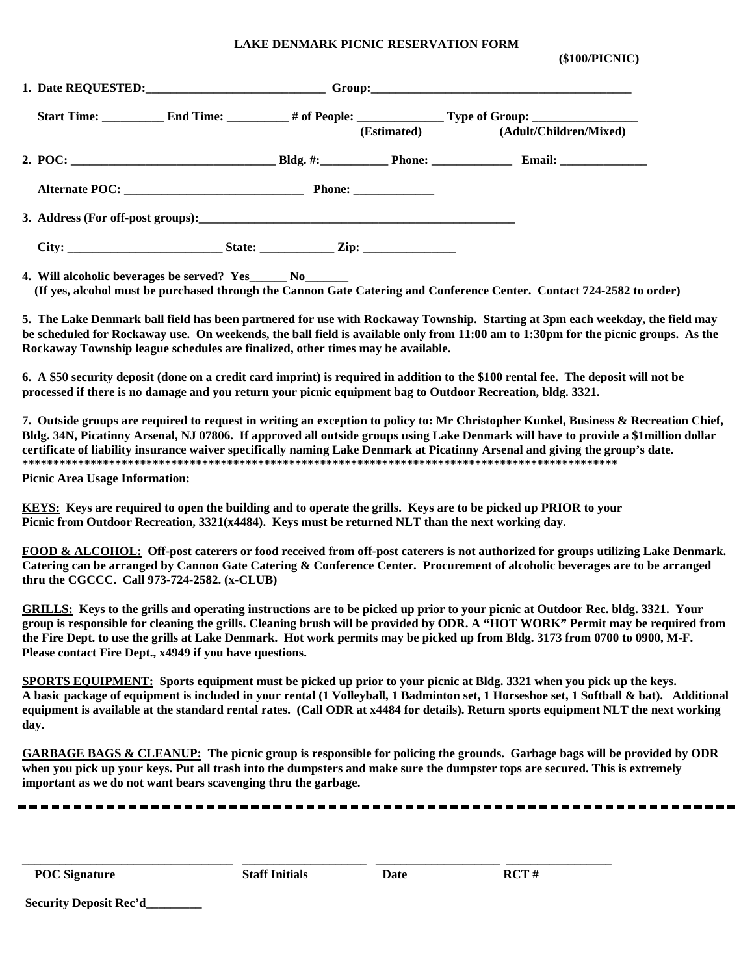## **LAKE DENMARK PICNIC RESERVATION FORM**

 **(\$100/PICNIC)**

|                                                              |  |  | (Estimated) (Adult/Children/Mixed) |
|--------------------------------------------------------------|--|--|------------------------------------|
|                                                              |  |  |                                    |
|                                                              |  |  |                                    |
|                                                              |  |  |                                    |
|                                                              |  |  |                                    |
| 4. Will alcoholic beverages be served? Yes_______ No________ |  |  |                                    |

 **(If yes, alcohol must be purchased through the Cannon Gate Catering and Conference Center. Contact 724-2582 to order)**

**5. The Lake Denmark ball field has been partnered for use with Rockaway Township. Starting at 3pm each weekday, the field may be scheduled for Rockaway use. On weekends, the ball field is available only from 11:00 am to 1:30pm for the picnic groups. As the Rockaway Township league schedules are finalized, other times may be available.** 

**6. A \$50 security deposit (done on a credit card imprint) is required in addition to the \$100 rental fee. The deposit will not be processed if there is no damage and you return your picnic equipment bag to Outdoor Recreation, bldg. 3321.** 

**7. Outside groups are required to request in writing an exception to policy to: Mr Christopher Kunkel, Business & Recreation Chief, Bldg. 34N, Picatinny Arsenal, NJ 07806. If approved all outside groups using Lake Denmark will have to provide a \$1million dollar certificate of liability insurance waiver specifically naming Lake Denmark at Picatinny Arsenal and giving the group's date. \*\*\*\*\*\*\*\*\*\*\*\*\*\*\*\*\*\*\*\*\*\*\*\*\*\*\*\*\*\*\*\*\*\*\*\*\*\*\*\*\*\*\*\*\*\*\*\*\*\*\*\*\*\*\*\*\*\*\*\*\*\*\*\*\*\*\*\*\*\*\*\*\*\*\*\*\*\*\*\*\*\*\*\*\*\*\*\*\*\*\*\*\*\*\*\***

**Picnic Area Usage Information:**

**KEYS: Keys are required to open the building and to operate the grills. Keys are to be picked up PRIOR to your Picnic from Outdoor Recreation, 3321(x4484). Keys must be returned NLT than the next working day.**

**FOOD & ALCOHOL: Off-post caterers or food received from off-post caterers is not authorized for groups utilizing Lake Denmark. Catering can be arranged by Cannon Gate Catering & Conference Center. Procurement of alcoholic beverages are to be arranged thru the CGCCC. Call 973-724-2582. (x-CLUB)**

**GRILLS: Keys to the grills and operating instructions are to be picked up prior to your picnic at Outdoor Rec. bldg. 3321. Your group is responsible for cleaning the grills. Cleaning brush will be provided by ODR. A "HOT WORK" Permit may be required from the Fire Dept. to use the grills at Lake Denmark. Hot work permits may be picked up from Bldg. 3173 from 0700 to 0900, M-F. Please contact Fire Dept., x4949 if you have questions.**

**SPORTS EQUIPMENT: Sports equipment must be picked up prior to your picnic at Bldg. 3321 when you pick up the keys. A basic package of equipment is included in your rental (1 Volleyball, 1 Badminton set, 1 Horseshoe set, 1 Softball & bat). Additional equipment is available at the standard rental rates. (Call ODR at x4484 for details). Return sports equipment NLT the next working day.** 

**GARBAGE BAGS & CLEANUP: The picnic group is responsible for policing the grounds. Garbage bags will be provided by ODR when you pick up your keys. Put all trash into the dumpsters and make sure the dumpster tops are secured. This is extremely important as we do not want bears scavenging thru the garbage.**

POC Signature **Staff Initials** Date RCT #

\_\_\_\_\_\_\_\_\_\_\_\_\_\_\_\_\_\_\_\_\_\_\_\_\_\_\_\_\_\_\_\_\_\_ \_\_\_\_\_\_\_\_\_\_\_\_\_\_\_\_\_\_\_\_ \_\_\_\_\_\_\_\_\_\_\_\_\_\_\_\_\_\_\_\_ \_\_\_\_\_\_\_\_\_\_\_\_\_\_\_\_\_

**Security Deposit Rec'd\_\_\_\_\_\_\_\_\_**